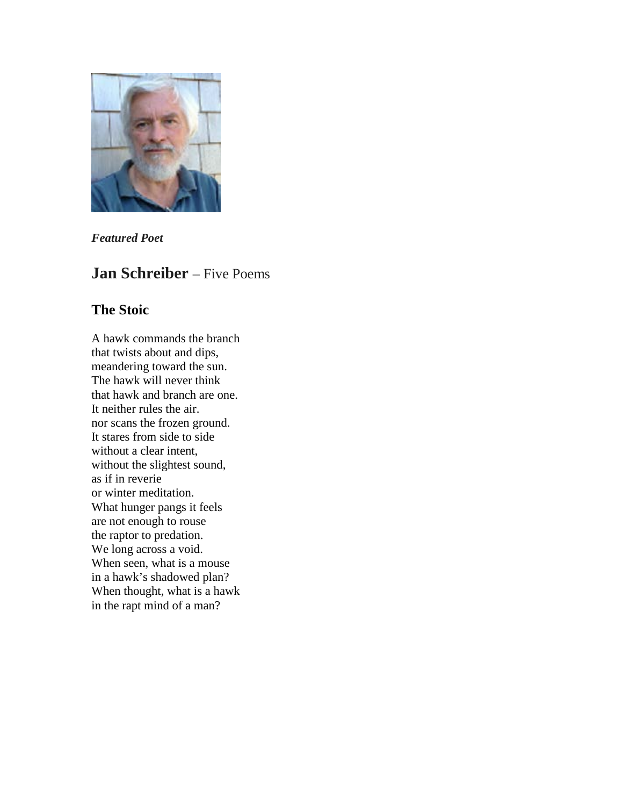

*Featured Poet*

# **Jan Schreiber** – Five Poems

## **The Stoic**

A hawk commands the branch that twists about and dips, meandering toward the sun. The hawk will never think that hawk and branch are one. It neither rules the air. nor scans the frozen ground. It stares from side to side without a clear intent, without the slightest sound, as if in reverie or winter meditation. What hunger pangs it feels are not enough to rouse the raptor to predation. We long across a void. When seen, what is a mouse in a hawk's shadowed plan? When thought, what is a hawk in the rapt mind of a man?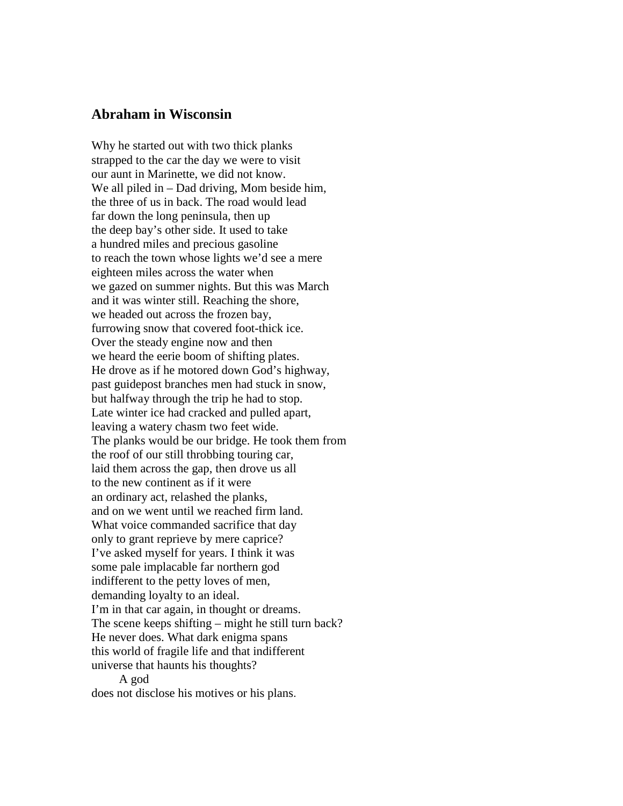### **Abraham in Wisconsin**

Why he started out with two thick planks strapped to the car the day we were to visit our aunt in Marinette, we did not know. We all piled in – Dad driving, Mom beside him, the three of us in back. The road would lead far down the long peninsula, then up the deep bay's other side. It used to take a hundred miles and precious gasoline to reach the town whose lights we'd see a mere eighteen miles across the water when we gazed on summer nights. But this was March and it was winter still. Reaching the shore, we headed out across the frozen bay, furrowing snow that covered foot-thick ice. Over the steady engine now and then we heard the eerie boom of shifting plates. He drove as if he motored down God's highway, past guidepost branches men had stuck in snow, but halfway through the trip he had to stop. Late winter ice had cracked and pulled apart, leaving a watery chasm two feet wide. The planks would be our bridge. He took them from the roof of our still throbbing touring car, laid them across the gap, then drove us all to the new continent as if it were an ordinary act, relashed the planks, and on we went until we reached firm land. What voice commanded sacrifice that day only to grant reprieve by mere caprice? I've asked myself for years. I think it was some pale implacable far northern god indifferent to the petty loves of men, demanding loyalty to an ideal. I'm in that car again, in thought or dreams. The scene keeps shifting – might he still turn back? He never does. What dark enigma spans this world of fragile life and that indifferent universe that haunts his thoughts? A god

does not disclose his motives or his plans.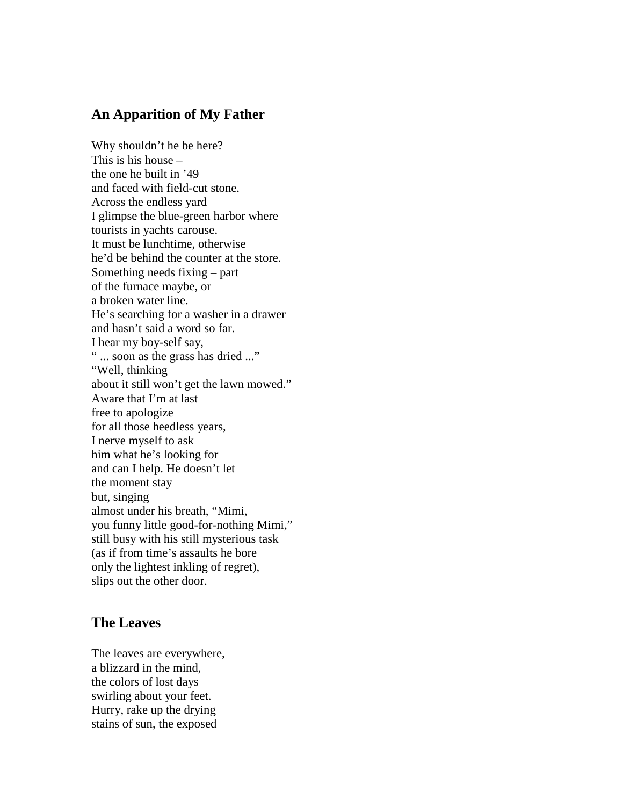## **An Apparition of My Father**

Why shouldn't he be here? This is his house – the one he built in '49 and faced with field-cut stone. Across the endless yard I glimpse the blue-green harbor where tourists in yachts carouse. It must be lunchtime, otherwise he'd be behind the counter at the store. Something needs fixing – part of the furnace maybe, or a broken water line. He's searching for a washer in a drawer and hasn't said a word so far. I hear my boy-self say, " ... soon as the grass has dried ..." "Well, thinking about it still won't get the lawn mowed." Aware that I'm at last free to apologize for all those heedless years, I nerve myself to ask him what he's looking for and can I help. He doesn't let the moment stay but, singing almost under his breath, "Mimi, you funny little good-for-nothing Mimi," still busy with his still mysterious task (as if from time's assaults he bore only the lightest inkling of regret), slips out the other door.

#### **The Leaves**

The leaves are everywhere, a blizzard in the mind, the colors of lost days swirling about your feet. Hurry, rake up the drying stains of sun, the exposed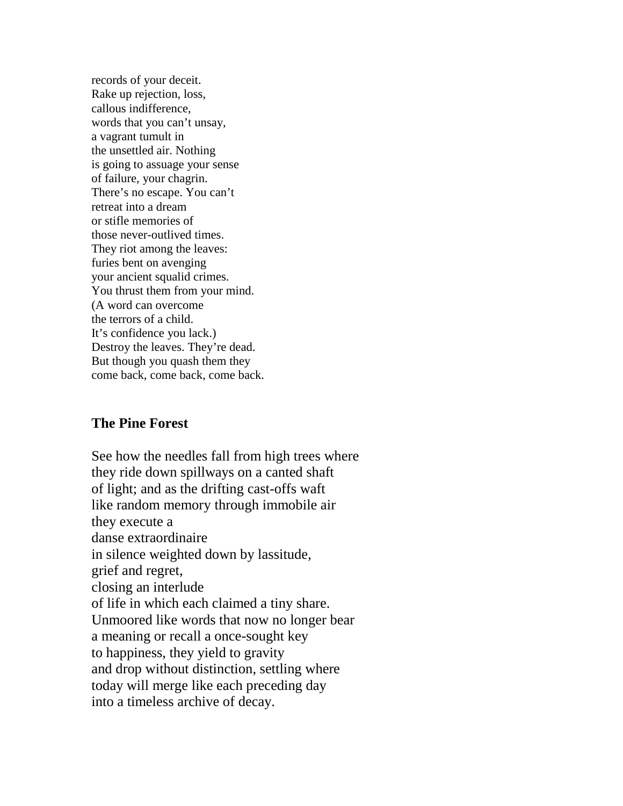records of your deceit. Rake up rejection, loss, callous indifference, words that you can't unsay, a vagrant tumult in the unsettled air. Nothing is going to assuage your sense of failure, your chagrin. There's no escape. You can't retreat into a dream or stifle memories of those never-outlived times. They riot among the leaves: furies bent on avenging your ancient squalid crimes. You thrust them from your mind. (A word can overcome the terrors of a child. It's confidence you lack.) Destroy the leaves. They're dead. But though you quash them they come back, come back, come back.

## **The Pine Forest**

See how the needles fall from high trees where they ride down spillways on a canted shaft of light; and as the drifting cast-offs waft like random memory through immobile air they execute a danse extraordinaire in silence weighted down by lassitude, grief and regret, closing an interlude of life in which each claimed a tiny share. Unmoored like words that now no longer bear a meaning or recall a once-sought key to happiness, they yield to gravity and drop without distinction, settling where today will merge like each preceding day into a timeless archive of decay.